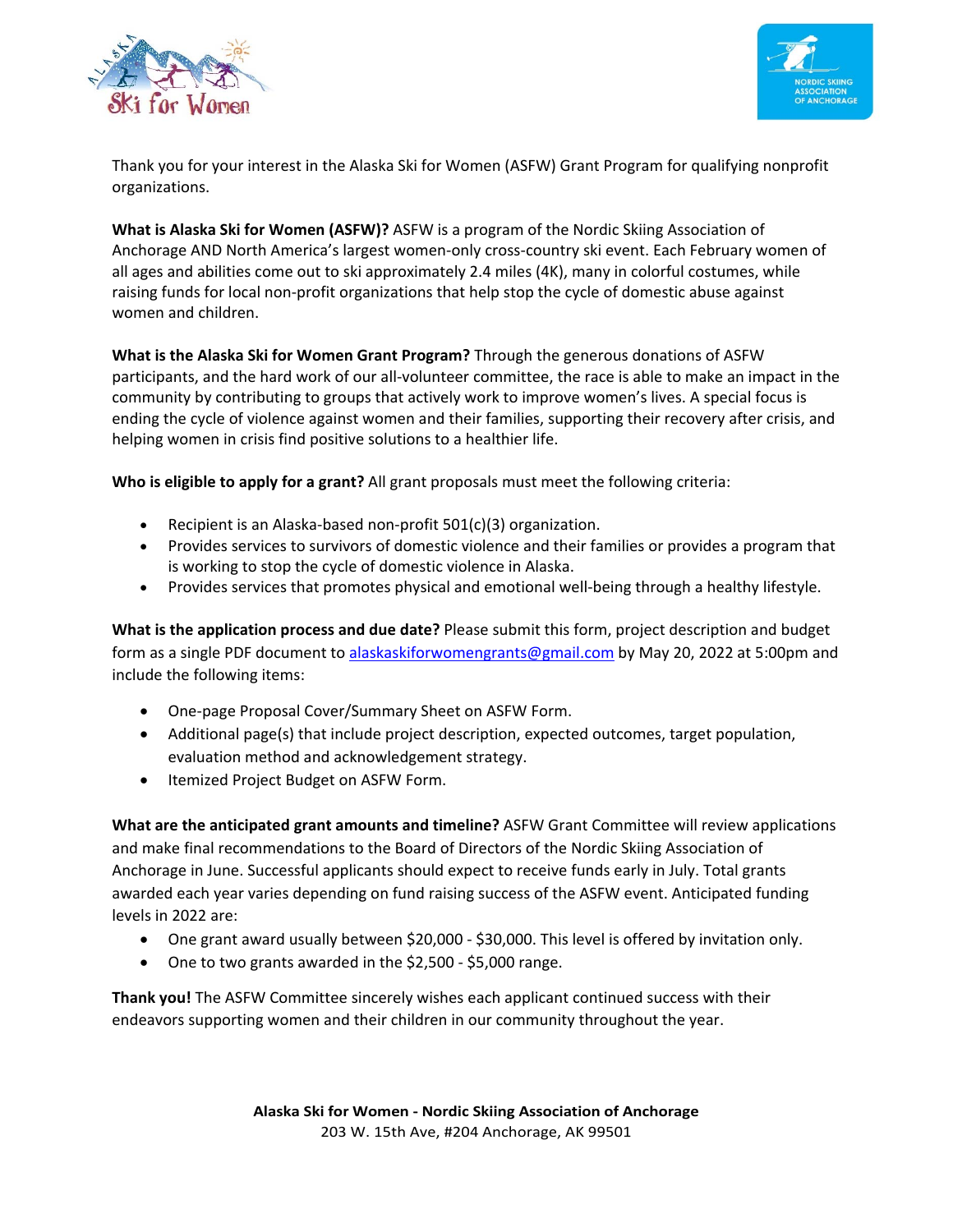



Thank you for your interest in the Alaska Ski for Women (ASFW) Grant Program for qualifying nonprofit organizations.

**What is Alaska Ski for Women (ASFW)?** ASFW is a program of the Nordic Skiing Association of Anchorage AND North America's largest women‐only cross‐country ski event. Each February women of all ages and abilities come out to ski approximately 2.4 miles (4K), many in colorful costumes, while raising funds for local non‐profit organizations that help stop the cycle of domestic abuse against women and children.

**What is the Alaska Ski for Women Grant Program?** Through the generous donations of ASFW participants, and the hard work of our all‐volunteer committee, the race is able to make an impact in the community by contributing to groups that actively work to improve women's lives. A special focus is ending the cycle of violence against women and their families, supporting their recovery after crisis, and helping women in crisis find positive solutions to a healthier life.

**Who is eligible to apply for a grant?** All grant proposals must meet the following criteria:

- Recipient is an Alaska‐based non‐profit 501(c)(3) organization.
- Provides services to survivors of domestic violence and their families or provides a program that is working to stop the cycle of domestic violence in Alaska.
- Provides services that promotes physical and emotional well-being through a healthy lifestyle.

**What is the application process and due date?** Please submit this form, project description and budget form as a single PDF document to alaskaskiforwomengrants@gmail.com by May 20, 2022 at 5:00pm and include the following items:

- One-page Proposal Cover/Summary Sheet on ASFW Form.
- Additional page(s) that include project description, expected outcomes, target population, evaluation method and acknowledgement strategy.
- Itemized Project Budget on ASFW Form.

**What are the anticipated grant amounts and timeline?** ASFW Grant Committee will review applications and make final recommendations to the Board of Directors of the Nordic Skiing Association of Anchorage in June. Successful applicants should expect to receive funds early in July. Total grants awarded each year varies depending on fund raising success of the ASFW event. Anticipated funding levels in 2022 are:

- One grant award usually between \$20,000 \$30,000. This level is offered by invitation only.
- One to two grants awarded in the \$2,500 \$5,000 range.

**Thank you!** The ASFW Committee sincerely wishes each applicant continued success with their endeavors supporting women and their children in our community throughout the year.

> **Alaska Ski for Women ‐ Nordic Skiing Association of Anchorage**  203 W. 15th Ave, #204 Anchorage, AK 99501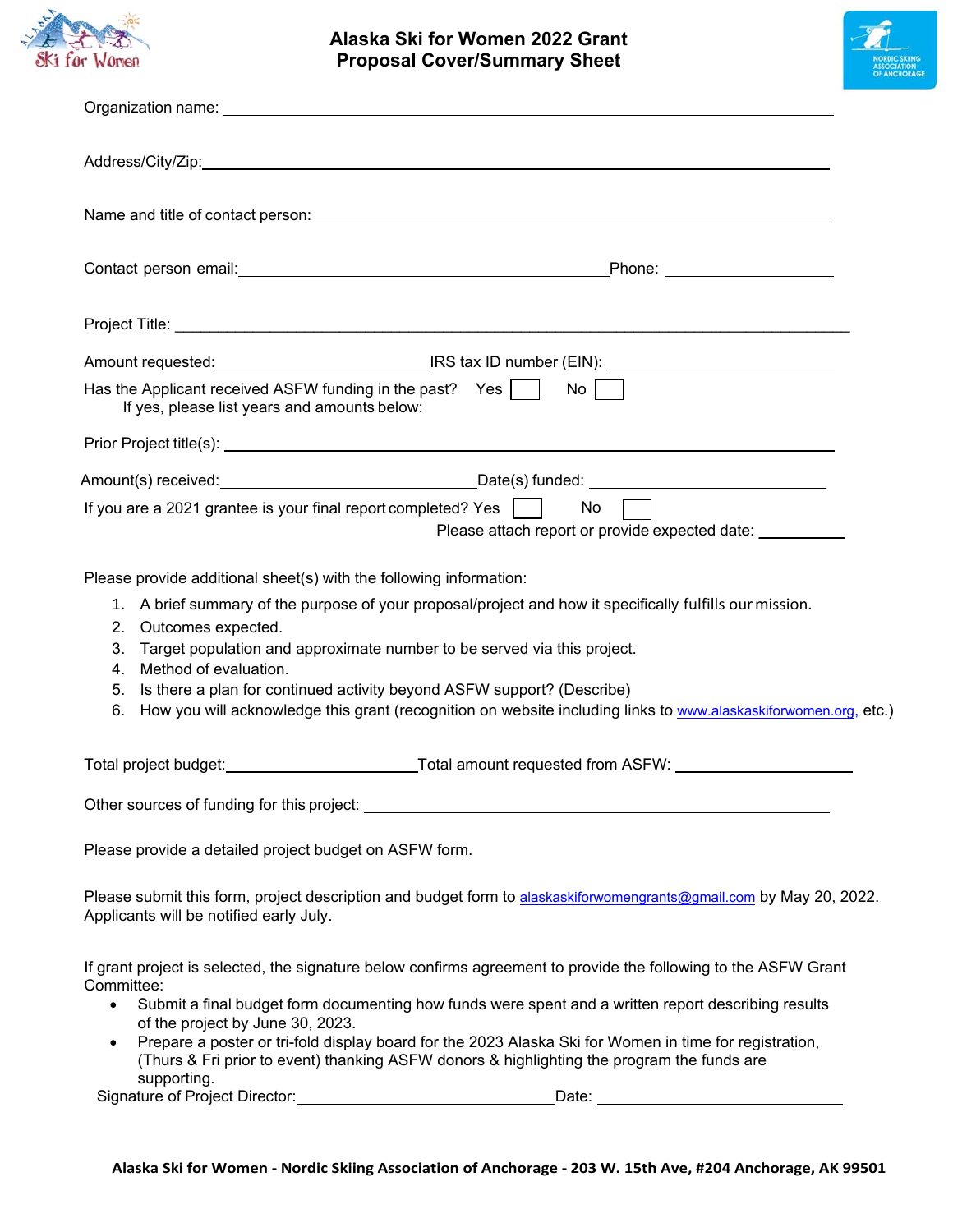

## **Alaska Ski for Women 2022 Grant Proposal Cover/Summary Sheet**



|                                                                                                                                                                                                                     | Amount requested: __________________________________IRS tax ID number (EIN): ________________________________                                                                                                                                                                                          |
|---------------------------------------------------------------------------------------------------------------------------------------------------------------------------------------------------------------------|--------------------------------------------------------------------------------------------------------------------------------------------------------------------------------------------------------------------------------------------------------------------------------------------------------|
| Has the Applicant received ASFW funding in the past? Yes<br>If yes, please list years and amounts below:                                                                                                            | $\mathsf{No}$                                                                                                                                                                                                                                                                                          |
|                                                                                                                                                                                                                     |                                                                                                                                                                                                                                                                                                        |
|                                                                                                                                                                                                                     |                                                                                                                                                                                                                                                                                                        |
| If you are a 2021 grantee is your final report completed? Yes $\vert$                                                                                                                                               | No<br>Please attach report or provide expected date: ___________                                                                                                                                                                                                                                       |
| Please provide additional sheet(s) with the following information:<br>2. Outcomes expected.<br>3.<br>Method of evaluation.<br>4.<br>5. Is there a plan for continued activity beyond ASFW support? (Describe)<br>6. | 1. A brief summary of the purpose of your proposal/project and how it specifically fulfills our mission.<br>Target population and approximate number to be served via this project.<br>How you will acknowledge this grant (recognition on website including links to www.alaskaskiforwomen.org, etc.) |
|                                                                                                                                                                                                                     |                                                                                                                                                                                                                                                                                                        |
|                                                                                                                                                                                                                     |                                                                                                                                                                                                                                                                                                        |
| Please provide a detailed project budget on ASFW form.                                                                                                                                                              |                                                                                                                                                                                                                                                                                                        |
| Applicants will be notified early July.                                                                                                                                                                             | Please submit this form, project description and budget form to alaskaskiforwomengrants@gmail.com by May 20, 2022.                                                                                                                                                                                     |
| Committee:                                                                                                                                                                                                          | If grant project is selected, the signature below confirms agreement to provide the following to the ASFW Grant                                                                                                                                                                                        |
| $\bullet$<br>of the project by June 30, 2023.                                                                                                                                                                       | Submit a final budget form documenting how funds were spent and a written report describing results                                                                                                                                                                                                    |
| $\bullet$<br>supporting.                                                                                                                                                                                            | Prepare a poster or tri-fold display board for the 2023 Alaska Ski for Women in time for registration,<br>(Thurs & Fri prior to event) thanking ASFW donors & highlighting the program the funds are                                                                                                   |
| Signature of Project Director:                                                                                                                                                                                      | Date:                                                                                                                                                                                                                                                                                                  |